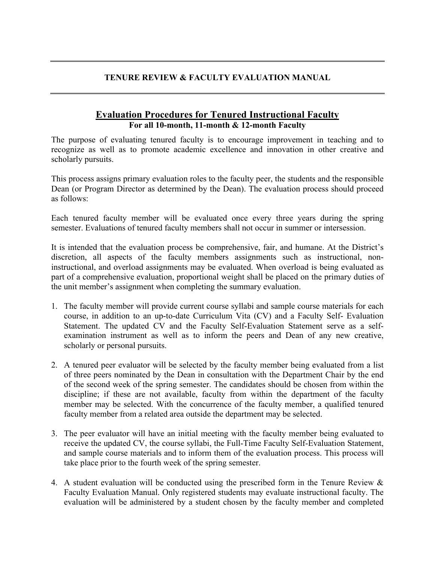## **TENURE REVIEW & FACULTY EVALUATION MANUAL**

## **Evaluation Procedures for Tenured Instructional Faculty For all 10-month, 11-month & 12-month Faculty**

The purpose of evaluating tenured faculty is to encourage improvement in teaching and to recognize as well as to promote academic excellence and innovation in other creative and scholarly pursuits.

This process assigns primary evaluation roles to the faculty peer, the students and the responsible Dean (or Program Director as determined by the Dean). The evaluation process should proceed as follows:

Each tenured faculty member will be evaluated once every three years during the spring semester. Evaluations of tenured faculty members shall not occur in summer or intersession.

It is intended that the evaluation process be comprehensive, fair, and humane. At the District's discretion, all aspects of the faculty members assignments such as instructional, noninstructional, and overload assignments may be evaluated. When overload is being evaluated as part of a comprehensive evaluation, proportional weight shall be placed on the primary duties of the unit member's assignment when completing the summary evaluation.

- 1. The faculty member will provide current course syllabi and sample course materials for each course, in addition to an up-to-date Curriculum Vita (CV) and a Faculty Self- Evaluation Statement. The updated CV and the Faculty Self-Evaluation Statement serve as a selfexamination instrument as well as to inform the peers and Dean of any new creative, scholarly or personal pursuits.
- 2. A tenured peer evaluator will be selected by the faculty member being evaluated from a list of three peers nominated by the Dean in consultation with the Department Chair by the end of the second week of the spring semester. The candidates should be chosen from within the discipline; if these are not available, faculty from within the department of the faculty member may be selected. With the concurrence of the faculty member, a qualified tenured faculty member from a related area outside the department may be selected.
- 3. The peer evaluator will have an initial meeting with the faculty member being evaluated to receive the updated CV, the course syllabi, the Full-Time Faculty Self-Evaluation Statement, and sample course materials and to inform them of the evaluation process. This process will take place prior to the fourth week of the spring semester.
- 4. A student evaluation will be conducted using the prescribed form in the Tenure Review & Faculty Evaluation Manual. Only registered students may evaluate instructional faculty. The evaluation will be administered by a student chosen by the faculty member and completed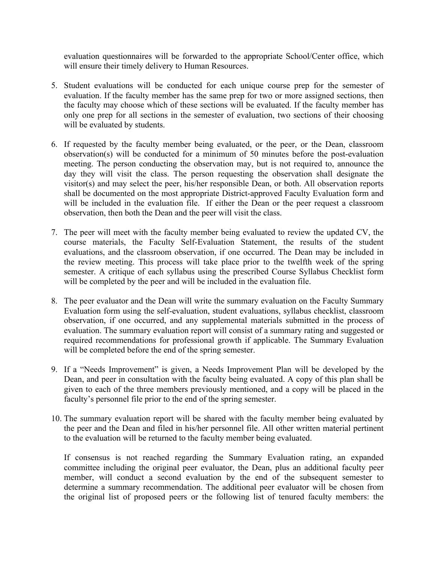evaluation questionnaires will be forwarded to the appropriate School/Center office, which will ensure their timely delivery to Human Resources.

- 5. Student evaluations will be conducted for each unique course prep for the semester of evaluation. If the faculty member has the same prep for two or more assigned sections, then the faculty may choose which of these sections will be evaluated. If the faculty member has only one prep for all sections in the semester of evaluation, two sections of their choosing will be evaluated by students.
- 6. If requested by the faculty member being evaluated, or the peer, or the Dean, classroom observation(s) will be conducted for a minimum of 50 minutes before the post-evaluation meeting. The person conducting the observation may, but is not required to, announce the day they will visit the class. The person requesting the observation shall designate the visitor(s) and may select the peer, his/her responsible Dean, or both. All observation reports shall be documented on the most appropriate District-approved Faculty Evaluation form and will be included in the evaluation file. If either the Dean or the peer request a classroom observation, then both the Dean and the peer will visit the class.
- 7. The peer will meet with the faculty member being evaluated to review the updated CV, the course materials, the Faculty Self-Evaluation Statement, the results of the student evaluations, and the classroom observation, if one occurred. The Dean may be included in the review meeting. This process will take place prior to the twelfth week of the spring semester. A critique of each syllabus using the prescribed Course Syllabus Checklist form will be completed by the peer and will be included in the evaluation file.
- 8. The peer evaluator and the Dean will write the summary evaluation on the Faculty Summary Evaluation form using the self-evaluation, student evaluations, syllabus checklist, classroom observation, if one occurred, and any supplemental materials submitted in the process of evaluation. The summary evaluation report will consist of a summary rating and suggested or required recommendations for professional growth if applicable. The Summary Evaluation will be completed before the end of the spring semester.
- 9. If a "Needs Improvement" is given, a Needs Improvement Plan will be developed by the Dean, and peer in consultation with the faculty being evaluated. A copy of this plan shall be given to each of the three members previously mentioned, and a copy will be placed in the faculty's personnel file prior to the end of the spring semester.
- 10. The summary evaluation report will be shared with the faculty member being evaluated by the peer and the Dean and filed in his/her personnel file. All other written material pertinent to the evaluation will be returned to the faculty member being evaluated.

If consensus is not reached regarding the Summary Evaluation rating, an expanded committee including the original peer evaluator, the Dean, plus an additional faculty peer member, will conduct a second evaluation by the end of the subsequent semester to determine a summary recommendation. The additional peer evaluator will be chosen from the original list of proposed peers or the following list of tenured faculty members: the